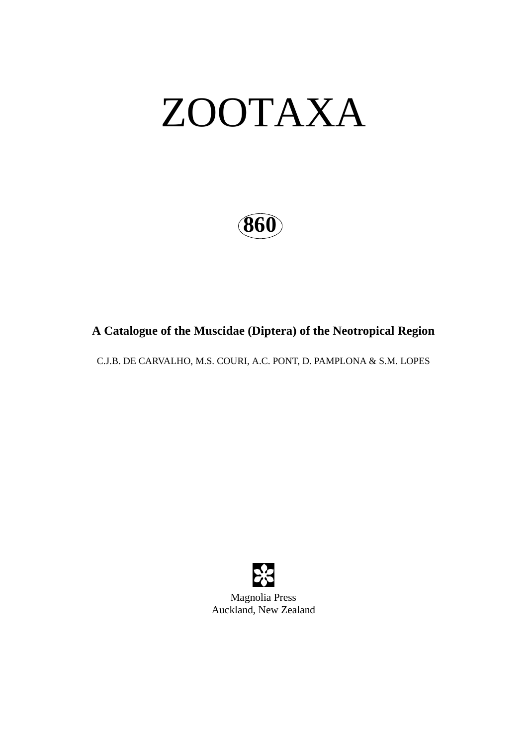# ZOOTAXA

**860**

## **A Catalogue of the Muscidae (Diptera) of the Neotropical Region**

C.J.B. DE CARVALHO, M.S. COURI, A.C. PONT, D. PAMPLONA & S.M. LOPES



Auckland, New Zealand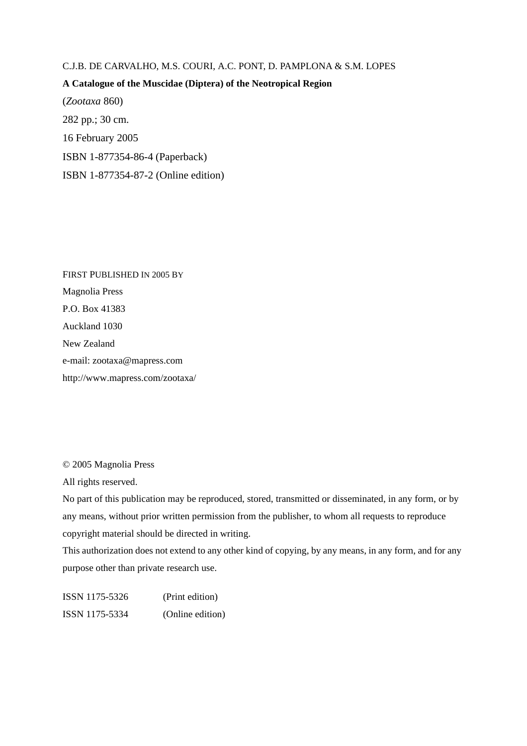#### C.J.B. DE CARVALHO, M.S. COURI, A.C. PONT, D. PAMPLONA & S.M. LOPES

### **A Catalogue of the Muscidae (Diptera) of the Neotropical Region**

(*Zootaxa* 860) 282 pp.; 30 cm. 16 February 2005 ISBN 1-877354-86-4 (Paperback) ISBN 1-877354-87-2 (Online edition)

FIRST PUBLISHED IN 2005 BY Magnolia Press P.O. Box 41383 Auckland 1030 New Zealand e-mail: zootaxa@mapress.com http://www.mapress.com/zootaxa/

© 2005 Magnolia Press

All rights reserved.

No part of this publication may be reproduced, stored, transmitted or disseminated, in any form, or by any means, without prior written permission from the publisher, to whom all requests to reproduce copyright material should be directed in writing.

This authorization does not extend to any other kind of copying, by any means, in any form, and for any purpose other than private research use.

ISSN 1175-5326 (Print edition) ISSN 1175-5334 (Online edition)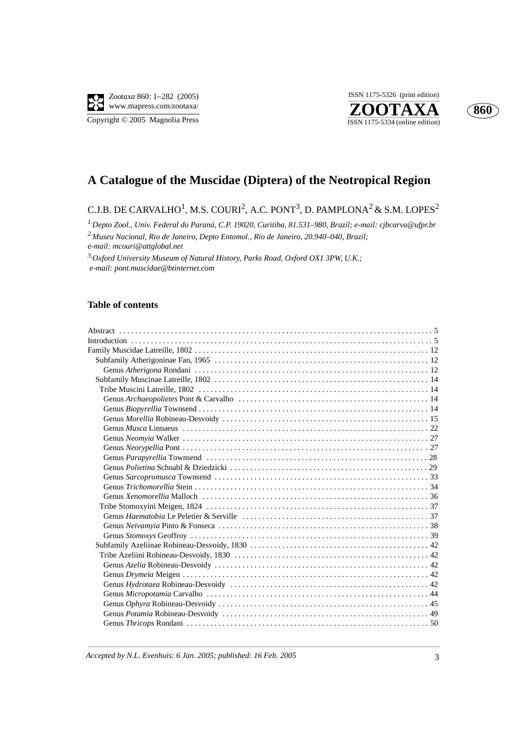





## **A Catalogue of the Muscidae (Diptera) of the Neotropical Region**

## C.J.B. DE CARVALHO $^1$ , M.S. COURI $^2$ , A.C. PONT $^3$ , D. PAMPLONA $^2$  & S.M. LOPES $^2$

*1.Depto Zool., Univ. Federal do Paraná, C.P. 19020, Curitiba, 81.531–980, Brazil; e-mail: cjbcarva@ufpr.br 2.Museu Nacional, Rio de Janeiro, Depto Entomol., Rio de Janeiro, 20.940–040, Brazil; e-mail: mcouri@attglobal.net*

*3.Oxford University Museum of Natural History, Parks Road, Oxford OX1 3PW, U.K.; e-mail: pont.muscidae@btinternet.com*

#### **Table of contents**

| Genus Xenomorellia Malloch (al., 1990) (Contained a material contained a material contained a material contain |  |
|----------------------------------------------------------------------------------------------------------------|--|
|                                                                                                                |  |
|                                                                                                                |  |
|                                                                                                                |  |
|                                                                                                                |  |
|                                                                                                                |  |
|                                                                                                                |  |
|                                                                                                                |  |
|                                                                                                                |  |
|                                                                                                                |  |
|                                                                                                                |  |
|                                                                                                                |  |
|                                                                                                                |  |
|                                                                                                                |  |
|                                                                                                                |  |

*Accepted by N.L. Evenhuis: 6 Jan. 2005; published: 16 Feb. 2005* 3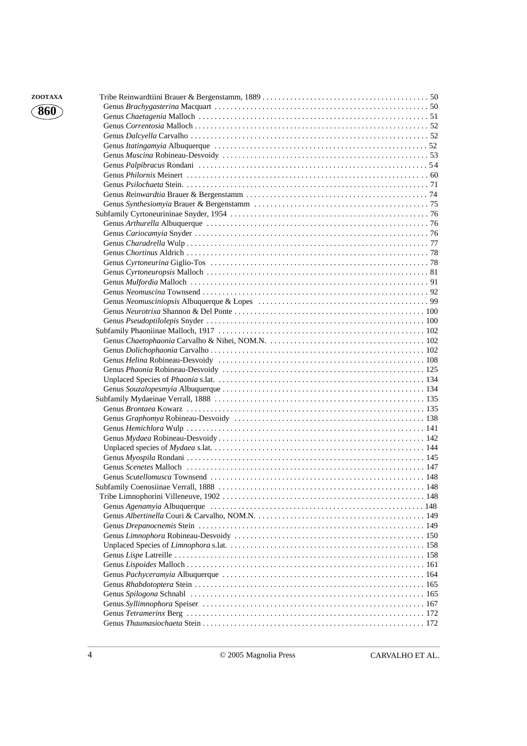| ZOOTAXA             |  |
|---------------------|--|
| $\left( 860\right)$ |  |
|                     |  |
|                     |  |
|                     |  |
|                     |  |
|                     |  |
|                     |  |
|                     |  |
|                     |  |
|                     |  |
|                     |  |
|                     |  |
|                     |  |
|                     |  |
|                     |  |
|                     |  |
|                     |  |
|                     |  |
|                     |  |
|                     |  |
|                     |  |
|                     |  |
|                     |  |
|                     |  |
|                     |  |
|                     |  |
|                     |  |
|                     |  |
|                     |  |
|                     |  |
|                     |  |
|                     |  |
|                     |  |
|                     |  |
|                     |  |
|                     |  |
|                     |  |
|                     |  |
|                     |  |
|                     |  |
|                     |  |
|                     |  |
|                     |  |
|                     |  |
|                     |  |
|                     |  |
|                     |  |
|                     |  |
|                     |  |
|                     |  |
|                     |  |
|                     |  |
|                     |  |
|                     |  |
|                     |  |

**860**